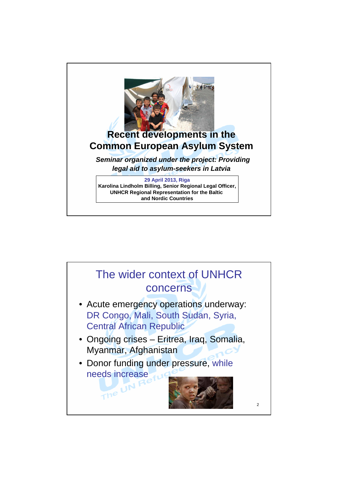

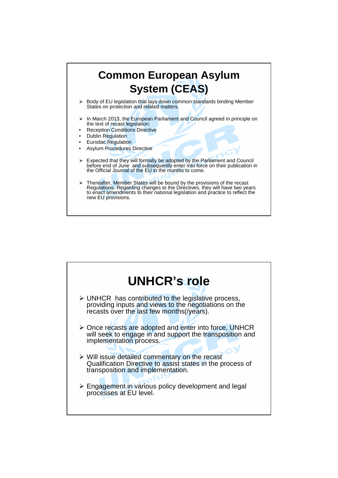

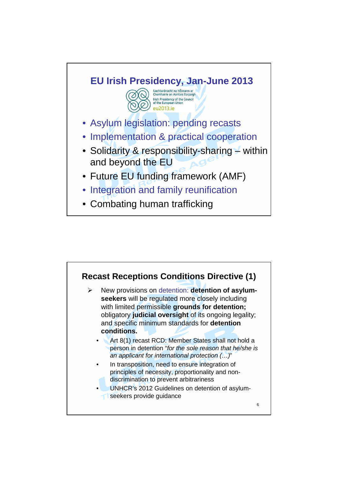

• Combating human trafficking

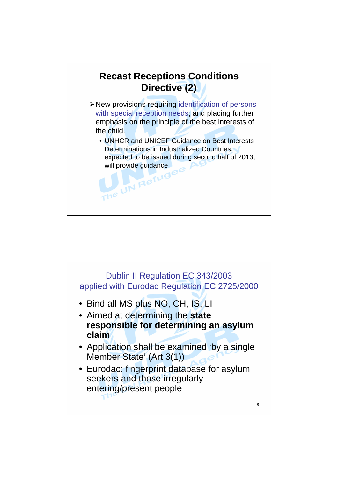

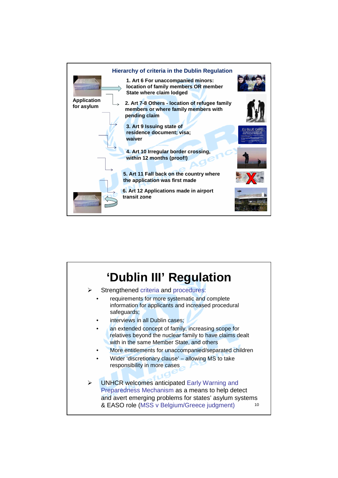

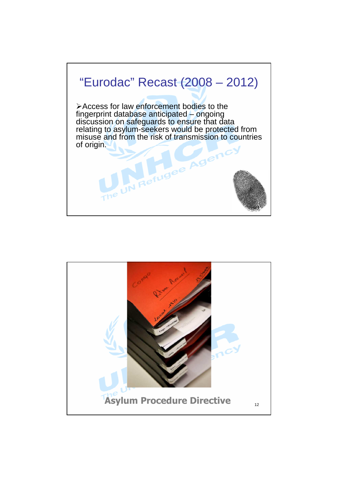

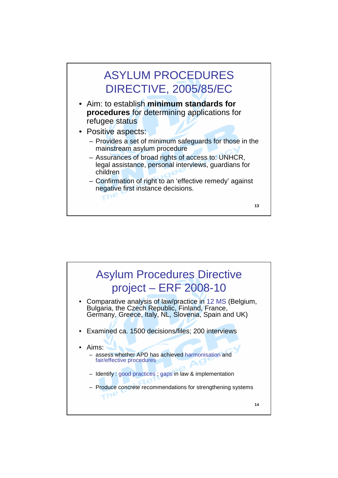

- Aim: to establish **minimum standards for procedures** for determining applications for refugee status
- Positive aspects:
	- Provides a set of minimum safeguards for those in the mainstream asylum procedure
	- Assurances of broad rights of access to: UNHCR, legal assistance, personal interviews, guardians for children
	- Confirmation of right to an 'effective remedy' against negative first instance decisions.  $\tau$ ne

13

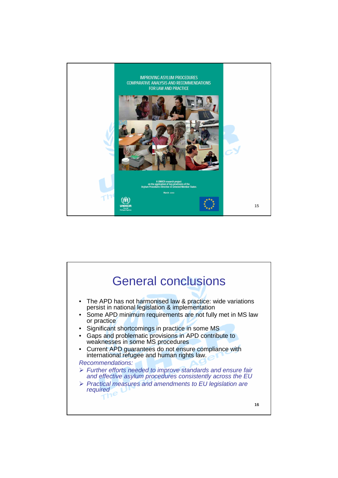

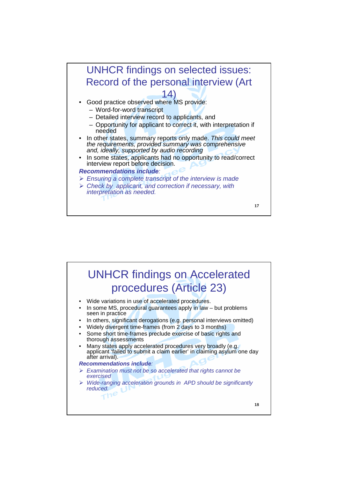

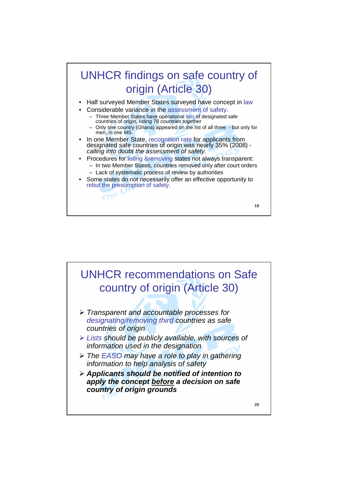

- Procedures for listing &removing states not always transparent: – In two Member States, countries removed only after court orders
- Lack of systematic process of review by authorities Some states do not necessarily offer an effective opportunity to rebut the presumption of safety.

 $\frac{1}{10}$ 

19

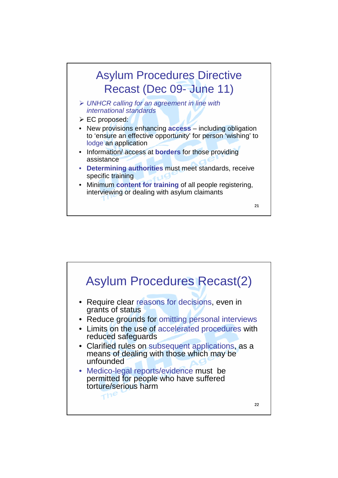

- ▶ UNHCR calling for an agreement in line with international standards
- EC proposed:
- New provisions enhancing **access** including obligation to 'ensure an effective opportunity' for person 'wishing' to lodge an application
- Information/ access at **borders** for those providing assistance
- **Determining authorities** must meet standards, receive specific training
- Minimum **content for training** of all people registering, interviewing or dealing with asylum claimants

21

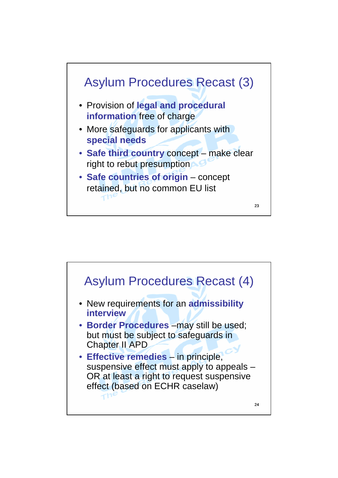

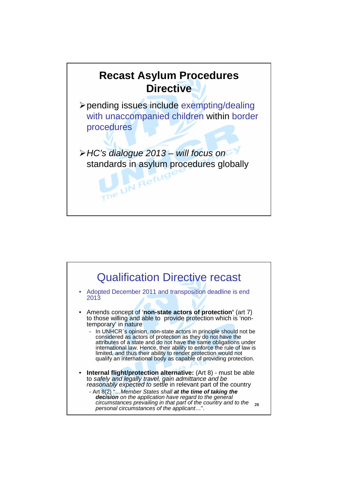

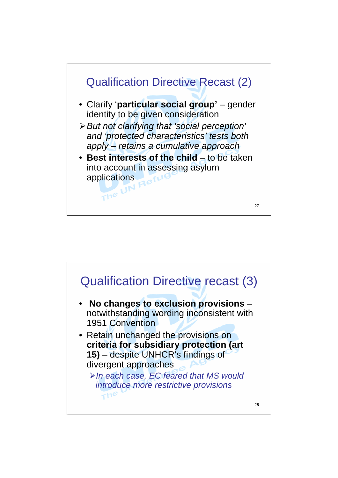

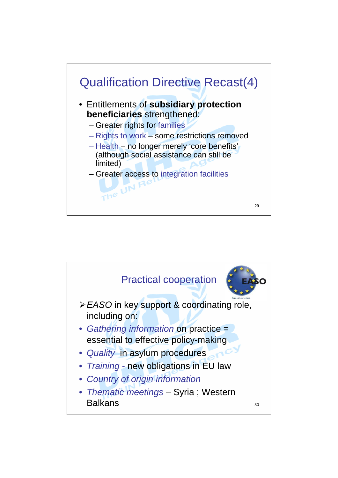

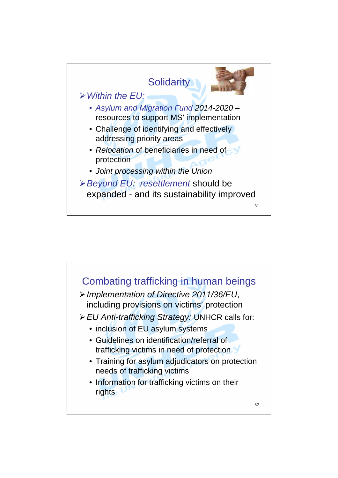

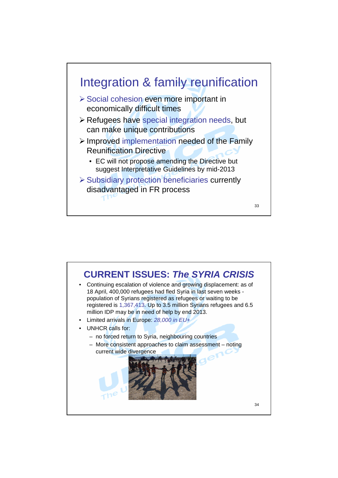